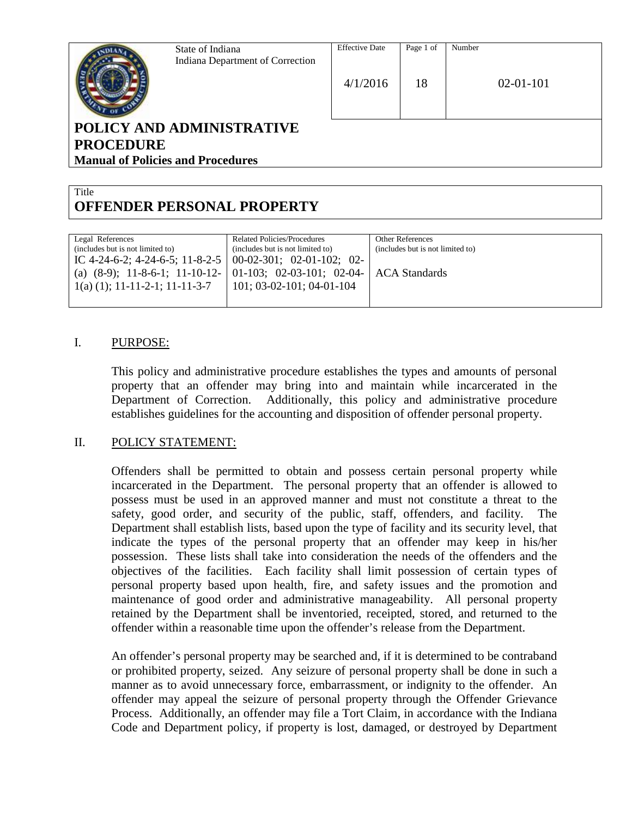

State of Indiana Indiana Department of Correction

# **POLICY AND ADMINISTRATIVE PROCEDURE Manual of Policies and Procedures**

#### **Title OFFENDER PERSONAL PROPERTY**

| <b>Related Policies/Procedures</b>                                        | <b>Other References</b>          |
|---------------------------------------------------------------------------|----------------------------------|
| (includes but is not limited to)                                          | (includes but is not limited to) |
| IC 4-24-6-2; 4-24-6-5; 11-8-2-5   00-02-301; 02-01-102; 02-               |                                  |
| (a) $(8-9)$ ; 11-8-6-1; 11-10-12- 01-103; 02-03-101; 02-04- ACA Standards |                                  |
| $101; 03-02-101; 04-01-104$                                               |                                  |
|                                                                           |                                  |
|                                                                           |                                  |

## I. PURPOSE:

This policy and administrative procedure establishes the types and amounts of personal property that an offender may bring into and maintain while incarcerated in the Department of Correction. Additionally, this policy and administrative procedure establishes guidelines for the accounting and disposition of offender personal property.

#### II. POLICY STATEMENT:

Offenders shall be permitted to obtain and possess certain personal property while incarcerated in the Department. The personal property that an offender is allowed to possess must be used in an approved manner and must not constitute a threat to the safety, good order, and security of the public, staff, offenders, and facility. The Department shall establish lists, based upon the type of facility and its security level, that indicate the types of the personal property that an offender may keep in his/her possession. These lists shall take into consideration the needs of the offenders and the objectives of the facilities. Each facility shall limit possession of certain types of personal property based upon health, fire, and safety issues and the promotion and maintenance of good order and administrative manageability. All personal property retained by the Department shall be inventoried, receipted, stored, and returned to the offender within a reasonable time upon the offender's release from the Department.

An offender's personal property may be searched and, if it is determined to be contraband or prohibited property, seized. Any seizure of personal property shall be done in such a manner as to avoid unnecessary force, embarrassment, or indignity to the offender. An offender may appeal the seizure of personal property through the Offender Grievance Process. Additionally, an offender may file a Tort Claim, in accordance with the Indiana Code and Department policy, if property is lost, damaged, or destroyed by Department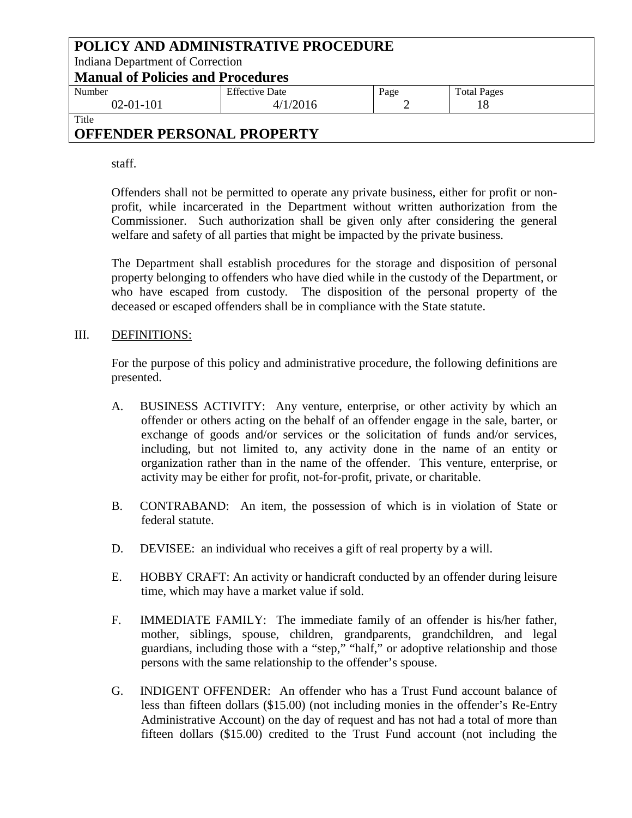| POLICY AND ADMINISTRATIVE PROCEDURE      |                       |      |                    |  |  |
|------------------------------------------|-----------------------|------|--------------------|--|--|
| Indiana Department of Correction         |                       |      |                    |  |  |
| <b>Manual of Policies and Procedures</b> |                       |      |                    |  |  |
| Number                                   | <b>Effective Date</b> | Page | <b>Total Pages</b> |  |  |
| $02-01-101$<br>4/1/2016                  |                       |      |                    |  |  |
| Title                                    |                       |      |                    |  |  |

staff.

Offenders shall not be permitted to operate any private business, either for profit or nonprofit, while incarcerated in the Department without written authorization from the Commissioner. Such authorization shall be given only after considering the general welfare and safety of all parties that might be impacted by the private business.

The Department shall establish procedures for the storage and disposition of personal property belonging to offenders who have died while in the custody of the Department, or who have escaped from custody. The disposition of the personal property of the deceased or escaped offenders shall be in compliance with the State statute.

### III. DEFINITIONS:

For the purpose of this policy and administrative procedure, the following definitions are presented.

- A. BUSINESS ACTIVITY: Any venture, enterprise, or other activity by which an offender or others acting on the behalf of an offender engage in the sale, barter, or exchange of goods and/or services or the solicitation of funds and/or services, including, but not limited to, any activity done in the name of an entity or organization rather than in the name of the offender. This venture, enterprise, or activity may be either for profit, not-for-profit, private, or charitable.
- B. CONTRABAND: An item, the possession of which is in violation of State or federal statute.
- D. DEVISEE: an individual who receives a gift of real property by a will.
- E. HOBBY CRAFT: An activity or handicraft conducted by an offender during leisure time, which may have a market value if sold.
- F. IMMEDIATE FAMILY: The immediate family of an offender is his/her father, mother, siblings, spouse, children, grandparents, grandchildren, and legal guardians, including those with a "step," "half," or adoptive relationship and those persons with the same relationship to the offender's spouse.
- G. INDIGENT OFFENDER: An offender who has a Trust Fund account balance of less than fifteen dollars (\$15.00) (not including monies in the offender's Re-Entry Administrative Account) on the day of request and has not had a total of more than fifteen dollars (\$15.00) credited to the Trust Fund account (not including the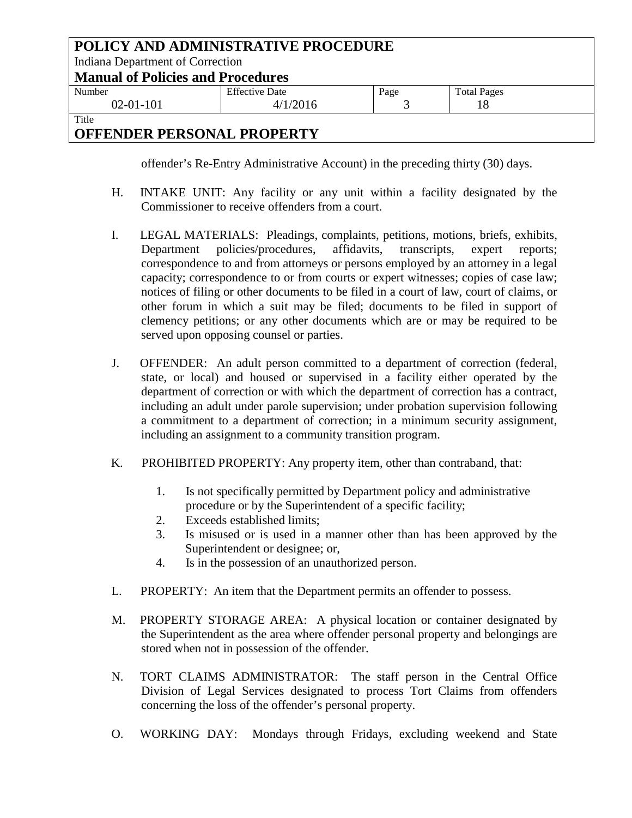| POLICY AND ADMINISTRATIVE PROCEDURE<br>Indiana Department of Correction |                       |      |                    |  |
|-------------------------------------------------------------------------|-----------------------|------|--------------------|--|
| <b>Manual of Policies and Procedures</b>                                |                       |      |                    |  |
| Number                                                                  | <b>Effective Date</b> | Page | <b>Total Pages</b> |  |
| $02-01-101$                                                             | 4/1/2016              |      |                    |  |
| Title                                                                   |                       |      |                    |  |

offender's Re-Entry Administrative Account) in the preceding thirty (30) days.

- H. INTAKE UNIT: Any facility or any unit within a facility designated by the Commissioner to receive offenders from a court.
- I. LEGAL MATERIALS: Pleadings, complaints, petitions, motions, briefs, exhibits, Department policies/procedures, affidavits, transcripts, expert reports; correspondence to and from attorneys or persons employed by an attorney in a legal capacity; correspondence to or from courts or expert witnesses; copies of case law; notices of filing or other documents to be filed in a court of law, court of claims, or other forum in which a suit may be filed; documents to be filed in support of clemency petitions; or any other documents which are or may be required to be served upon opposing counsel or parties.
- J. OFFENDER: An adult person committed to a department of correction (federal, state, or local) and housed or supervised in a facility either operated by the department of correction or with which the department of correction has a contract, including an adult under parole supervision; under probation supervision following a commitment to a department of correction; in a minimum security assignment, including an assignment to a community transition program.
- K. PROHIBITED PROPERTY: Any property item, other than contraband, that:
	- 1. Is not specifically permitted by Department policy and administrative procedure or by the Superintendent of a specific facility;
	- 2. Exceeds established limits;
	- 3. Is misused or is used in a manner other than has been approved by the Superintendent or designee; or,
	- 4. Is in the possession of an unauthorized person.
- L. PROPERTY: An item that the Department permits an offender to possess.
- M. PROPERTY STORAGE AREA: A physical location or container designated by the Superintendent as the area where offender personal property and belongings are stored when not in possession of the offender.
- N. TORT CLAIMS ADMINISTRATOR: The staff person in the Central Office Division of Legal Services designated to process Tort Claims from offenders concerning the loss of the offender's personal property.
- O. WORKING DAY: Mondays through Fridays, excluding weekend and State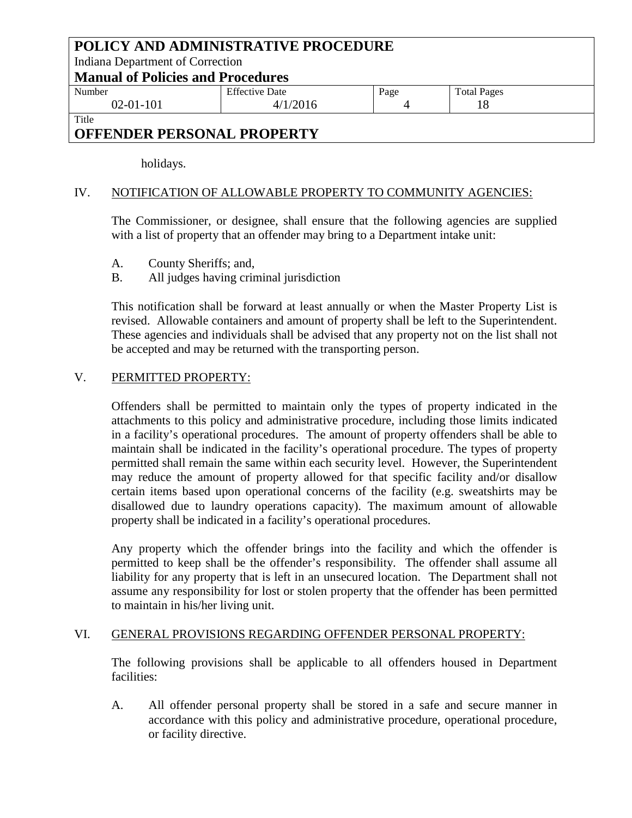| POLICY AND ADMINISTRATIVE PROCEDURE<br>Indiana Department of Correction |                                   |      |                    |  |  |
|-------------------------------------------------------------------------|-----------------------------------|------|--------------------|--|--|
|                                                                         | Manual of Policies and Procedures |      |                    |  |  |
| Number                                                                  | <b>Effective Date</b>             | Page | <b>Total Pages</b> |  |  |
| $02 - 01 - 101$                                                         | 4/1/2016                          |      |                    |  |  |
| Title                                                                   |                                   |      |                    |  |  |
| AREEMBED BEDCAULT BRABEDTY                                              |                                   |      |                    |  |  |

holidays.

## IV. NOTIFICATION OF ALLOWABLE PROPERTY TO COMMUNITY AGENCIES:

The Commissioner, or designee, shall ensure that the following agencies are supplied with a list of property that an offender may bring to a Department intake unit:

- A. County Sheriffs; and,
- B. All judges having criminal jurisdiction

This notification shall be forward at least annually or when the Master Property List is revised. Allowable containers and amount of property shall be left to the Superintendent. These agencies and individuals shall be advised that any property not on the list shall not be accepted and may be returned with the transporting person.

### V. PERMITTED PROPERTY:

Offenders shall be permitted to maintain only the types of property indicated in the attachments to this policy and administrative procedure, including those limits indicated in a facility's operational procedures. The amount of property offenders shall be able to maintain shall be indicated in the facility's operational procedure. The types of property permitted shall remain the same within each security level. However, the Superintendent may reduce the amount of property allowed for that specific facility and/or disallow certain items based upon operational concerns of the facility (e.g. sweatshirts may be disallowed due to laundry operations capacity). The maximum amount of allowable property shall be indicated in a facility's operational procedures.

Any property which the offender brings into the facility and which the offender is permitted to keep shall be the offender's responsibility. The offender shall assume all liability for any property that is left in an unsecured location. The Department shall not assume any responsibility for lost or stolen property that the offender has been permitted to maintain in his/her living unit.

## VI. GENERAL PROVISIONS REGARDING OFFENDER PERSONAL PROPERTY:

The following provisions shall be applicable to all offenders housed in Department facilities:

A. All offender personal property shall be stored in a safe and secure manner in accordance with this policy and administrative procedure, operational procedure, or facility directive.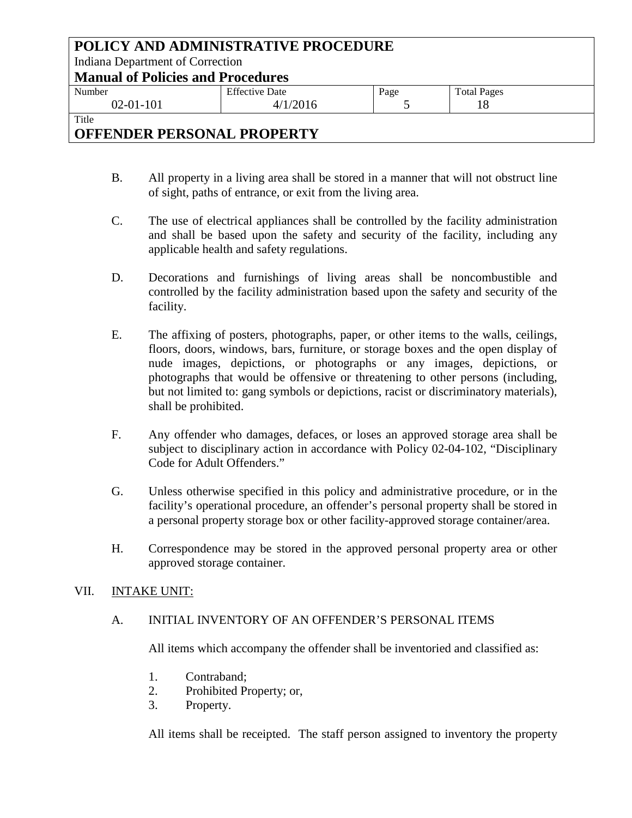| POLICY AND ADMINISTRATIVE PROCEDURE |                                          |      |                    |  |  |
|-------------------------------------|------------------------------------------|------|--------------------|--|--|
| Indiana Department of Correction    |                                          |      |                    |  |  |
|                                     | <b>Manual of Policies and Procedures</b> |      |                    |  |  |
| Number                              | <b>Effective Date</b>                    | Page | <b>Total Pages</b> |  |  |
| $02 - 01 - 101$                     | 4/1/2016                                 |      |                    |  |  |
| Title                               |                                          |      |                    |  |  |

- B. All property in a living area shall be stored in a manner that will not obstruct line of sight, paths of entrance, or exit from the living area.
- C. The use of electrical appliances shall be controlled by the facility administration and shall be based upon the safety and security of the facility, including any applicable health and safety regulations.
- D. Decorations and furnishings of living areas shall be noncombustible and controlled by the facility administration based upon the safety and security of the facility.
- E. The affixing of posters, photographs, paper, or other items to the walls, ceilings, floors, doors, windows, bars, furniture, or storage boxes and the open display of nude images, depictions, or photographs or any images, depictions, or photographs that would be offensive or threatening to other persons (including, but not limited to: gang symbols or depictions, racist or discriminatory materials), shall be prohibited.
- F. Any offender who damages, defaces, or loses an approved storage area shall be subject to disciplinary action in accordance with Policy 02-04-102, "Disciplinary Code for Adult Offenders."
- G. Unless otherwise specified in this policy and administrative procedure, or in the facility's operational procedure, an offender's personal property shall be stored in a personal property storage box or other facility-approved storage container/area.
- H. Correspondence may be stored in the approved personal property area or other approved storage container.

#### VII. INTAKE UNIT:

## A. INITIAL INVENTORY OF AN OFFENDER'S PERSONAL ITEMS

All items which accompany the offender shall be inventoried and classified as:

- 1. Contraband;
- 2. Prohibited Property; or,
- 3. Property.

All items shall be receipted. The staff person assigned to inventory the property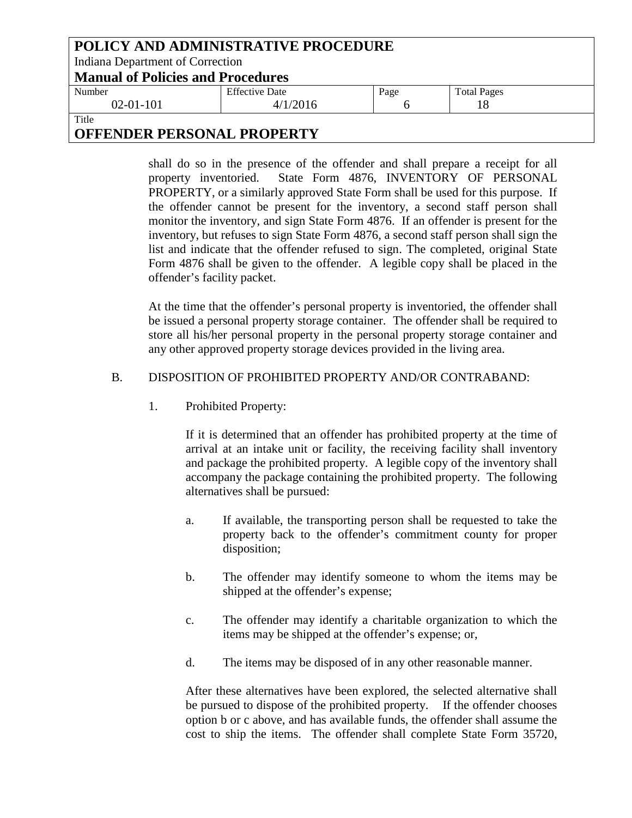| POLICY AND ADMINISTRATIVE PROCEDURE |                                          |      |                    |  |
|-------------------------------------|------------------------------------------|------|--------------------|--|
| Indiana Department of Correction    |                                          |      |                    |  |
|                                     | <b>Manual of Policies and Procedures</b> |      |                    |  |
| Number                              | <b>Effective Date</b>                    | Page | <b>Total Pages</b> |  |
| $02 - 01 - 101$                     | 4/1/2016                                 |      |                    |  |
| Title                               |                                          |      |                    |  |

shall do so in the presence of the offender and shall prepare a receipt for all property inventoried. State Form 4876, INVENTORY OF PERSONAL PROPERTY, or a similarly approved State Form shall be used for this purpose. If the offender cannot be present for the inventory, a second staff person shall monitor the inventory, and sign State Form 4876. If an offender is present for the inventory, but refuses to sign State Form 4876, a second staff person shall sign the list and indicate that the offender refused to sign. The completed, original State Form 4876 shall be given to the offender. A legible copy shall be placed in the offender's facility packet.

At the time that the offender's personal property is inventoried, the offender shall be issued a personal property storage container. The offender shall be required to store all his/her personal property in the personal property storage container and any other approved property storage devices provided in the living area.

### B. DISPOSITION OF PROHIBITED PROPERTY AND/OR CONTRABAND:

1. Prohibited Property:

If it is determined that an offender has prohibited property at the time of arrival at an intake unit or facility, the receiving facility shall inventory and package the prohibited property. A legible copy of the inventory shall accompany the package containing the prohibited property. The following alternatives shall be pursued:

- a. If available, the transporting person shall be requested to take the property back to the offender's commitment county for proper disposition;
- b. The offender may identify someone to whom the items may be shipped at the offender's expense;
- c. The offender may identify a charitable organization to which the items may be shipped at the offender's expense; or,
- d. The items may be disposed of in any other reasonable manner.

After these alternatives have been explored, the selected alternative shall be pursued to dispose of the prohibited property. If the offender chooses option b or c above, and has available funds, the offender shall assume the cost to ship the items. The offender shall complete State Form 35720,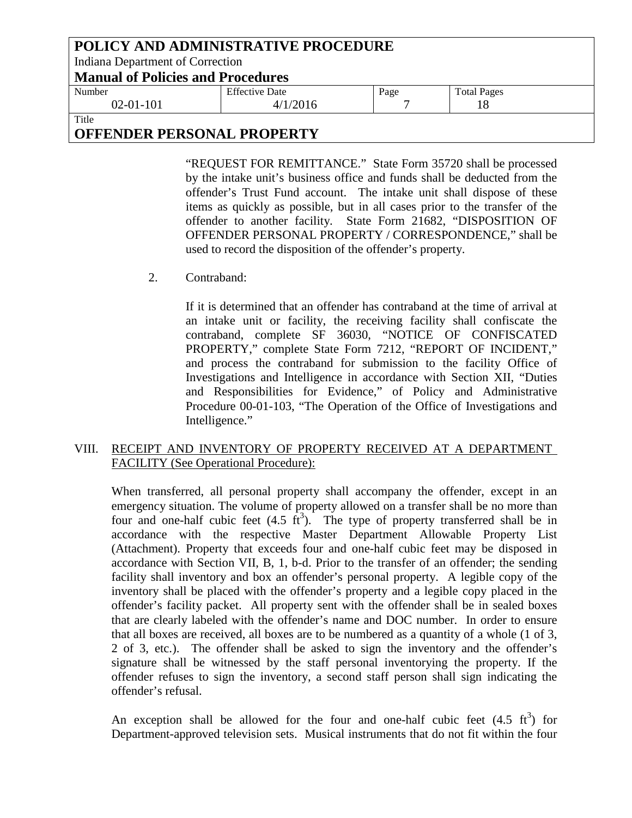| POLICY AND ADMINISTRATIVE PROCEDURE |                                          |      |                    |  |  |
|-------------------------------------|------------------------------------------|------|--------------------|--|--|
|                                     | Indiana Department of Correction         |      |                    |  |  |
|                                     | <b>Manual of Policies and Procedures</b> |      |                    |  |  |
| Number                              | <b>Effective Date</b>                    | Page | <b>Total Pages</b> |  |  |
| $02 - 01 - 101$                     | 4/1/2016                                 |      |                    |  |  |
| Title                               |                                          |      |                    |  |  |

"REQUEST FOR REMITTANCE." State Form 35720 shall be processed by the intake unit's business office and funds shall be deducted from the offender's Trust Fund account. The intake unit shall dispose of these items as quickly as possible, but in all cases prior to the transfer of the offender to another facility. State Form 21682, "DISPOSITION OF OFFENDER PERSONAL PROPERTY / CORRESPONDENCE," shall be used to record the disposition of the offender's property.

2. Contraband:

If it is determined that an offender has contraband at the time of arrival at an intake unit or facility, the receiving facility shall confiscate the contraband, complete SF 36030, "NOTICE OF CONFISCATED PROPERTY," complete State Form 7212, "REPORT OF INCIDENT," and process the contraband for submission to the facility Office of Investigations and Intelligence in accordance with Section XII, "Duties and Responsibilities for Evidence," of Policy and Administrative Procedure 00-01-103, "The Operation of the Office of Investigations and Intelligence."

### VIII. RECEIPT AND INVENTORY OF PROPERTY RECEIVED AT A DEPARTMENT FACILITY (See Operational Procedure):

When transferred, all personal property shall accompany the offender, except in an emergency situation. The volume of property allowed on a transfer shall be no more than four and one-half cubic feet  $(4.5 \text{ ft}^3)$ . The type of property transferred shall be in accordance with the respective Master Department Allowable Property List (Attachment). Property that exceeds four and one-half cubic feet may be disposed in accordance with Section VII, B, 1, b-d. Prior to the transfer of an offender; the sending facility shall inventory and box an offender's personal property. A legible copy of the inventory shall be placed with the offender's property and a legible copy placed in the offender's facility packet. All property sent with the offender shall be in sealed boxes that are clearly labeled with the offender's name and DOC number. In order to ensure that all boxes are received, all boxes are to be numbered as a quantity of a whole (1 of 3, 2 of 3, etc.). The offender shall be asked to sign the inventory and the offender's signature shall be witnessed by the staff personal inventorying the property. If the offender refuses to sign the inventory, a second staff person shall sign indicating the offender's refusal.

An exception shall be allowed for the four and one-half cubic feet  $(4.5 \text{ ft}^3)$  for Department-approved television sets. Musical instruments that do not fit within the four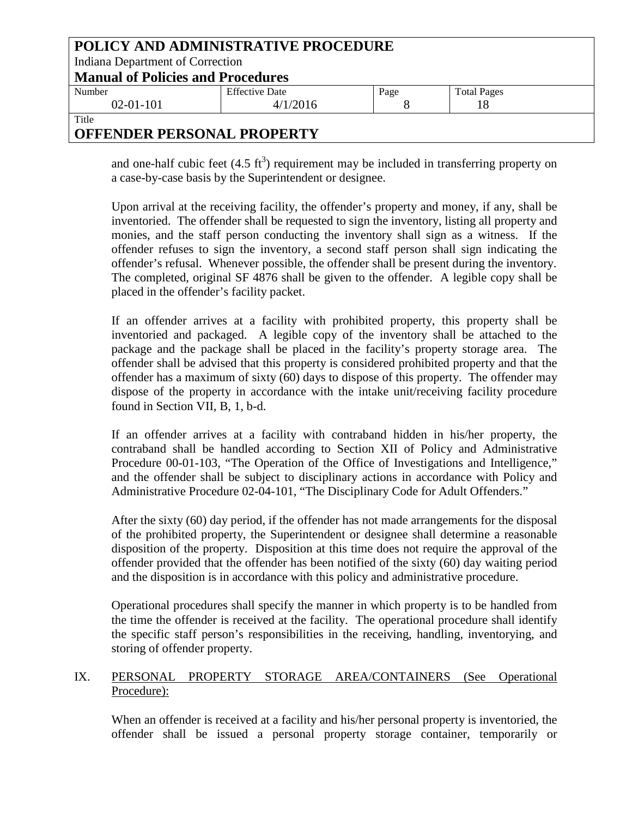| POLICY AND ADMINISTRATIVE PROCEDURE |                                          |      |                    |  |  |
|-------------------------------------|------------------------------------------|------|--------------------|--|--|
| Indiana Department of Correction    |                                          |      |                    |  |  |
|                                     | <b>Manual of Policies and Procedures</b> |      |                    |  |  |
| Number                              | <b>Effective Date</b>                    | Page | <b>Total Pages</b> |  |  |
| $02-01-101$                         | 4/1/2016                                 |      |                    |  |  |
| Title                               |                                          |      |                    |  |  |

and one-half cubic feet  $(4.5 \text{ ft}^3)$  requirement may be included in transferring property on a case-by-case basis by the Superintendent or designee.

Upon arrival at the receiving facility, the offender's property and money, if any, shall be inventoried. The offender shall be requested to sign the inventory, listing all property and monies, and the staff person conducting the inventory shall sign as a witness. If the offender refuses to sign the inventory, a second staff person shall sign indicating the offender's refusal. Whenever possible, the offender shall be present during the inventory. The completed, original SF 4876 shall be given to the offender. A legible copy shall be placed in the offender's facility packet.

If an offender arrives at a facility with prohibited property, this property shall be inventoried and packaged. A legible copy of the inventory shall be attached to the package and the package shall be placed in the facility's property storage area. The offender shall be advised that this property is considered prohibited property and that the offender has a maximum of sixty (60) days to dispose of this property. The offender may dispose of the property in accordance with the intake unit/receiving facility procedure found in Section VII, B, 1, b-d.

If an offender arrives at a facility with contraband hidden in his/her property, the contraband shall be handled according to Section XII of Policy and Administrative Procedure 00-01-103, "The Operation of the Office of Investigations and Intelligence," and the offender shall be subject to disciplinary actions in accordance with Policy and Administrative Procedure 02-04-101, "The Disciplinary Code for Adult Offenders."

After the sixty (60) day period, if the offender has not made arrangements for the disposal of the prohibited property, the Superintendent or designee shall determine a reasonable disposition of the property. Disposition at this time does not require the approval of the offender provided that the offender has been notified of the sixty (60) day waiting period and the disposition is in accordance with this policy and administrative procedure.

Operational procedures shall specify the manner in which property is to be handled from the time the offender is received at the facility. The operational procedure shall identify the specific staff person's responsibilities in the receiving, handling, inventorying, and storing of offender property.

## IX. PERSONAL PROPERTY STORAGE AREA/CONTAINERS (See Operational Procedure):

When an offender is received at a facility and his/her personal property is inventoried, the offender shall be issued a personal property storage container, temporarily or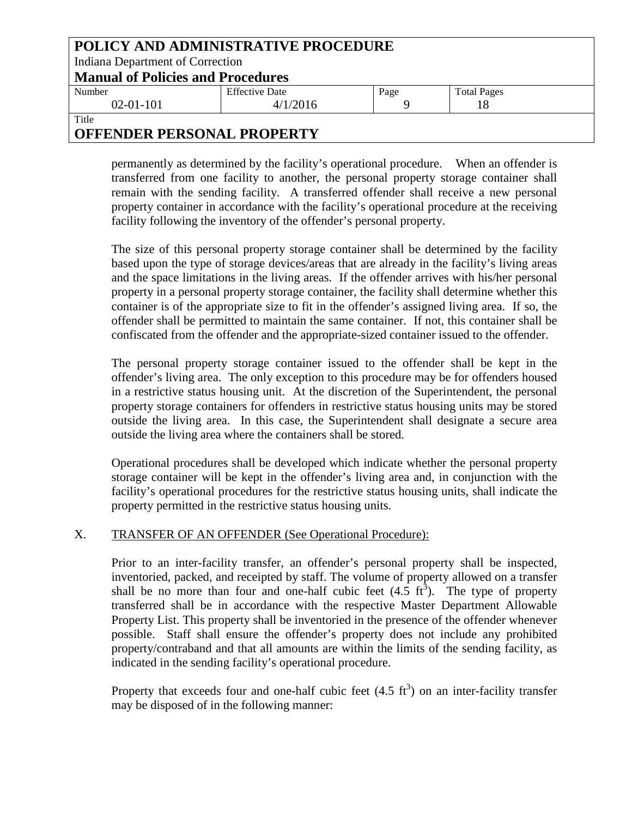| POLICY AND ADMINISTRATIVE PROCEDURE |                                          |      |                    |  |  |
|-------------------------------------|------------------------------------------|------|--------------------|--|--|
| Indiana Department of Correction    |                                          |      |                    |  |  |
|                                     | <b>Manual of Policies and Procedures</b> |      |                    |  |  |
| Number                              | <b>Effective Date</b>                    | Page | <b>Total Pages</b> |  |  |
| $02 - 01 - 101$                     | 4/1/2016                                 |      |                    |  |  |
| Title                               |                                          |      |                    |  |  |

permanently as determined by the facility's operational procedure. When an offender is transferred from one facility to another, the personal property storage container shall remain with the sending facility. A transferred offender shall receive a new personal property container in accordance with the facility's operational procedure at the receiving facility following the inventory of the offender's personal property.

The size of this personal property storage container shall be determined by the facility based upon the type of storage devices/areas that are already in the facility's living areas and the space limitations in the living areas. If the offender arrives with his/her personal property in a personal property storage container, the facility shall determine whether this container is of the appropriate size to fit in the offender's assigned living area. If so, the offender shall be permitted to maintain the same container. If not, this container shall be confiscated from the offender and the appropriate-sized container issued to the offender.

The personal property storage container issued to the offender shall be kept in the offender's living area. The only exception to this procedure may be for offenders housed in a restrictive status housing unit. At the discretion of the Superintendent, the personal property storage containers for offenders in restrictive status housing units may be stored outside the living area. In this case, the Superintendent shall designate a secure area outside the living area where the containers shall be stored.

Operational procedures shall be developed which indicate whether the personal property storage container will be kept in the offender's living area and, in conjunction with the facility's operational procedures for the restrictive status housing units, shall indicate the property permitted in the restrictive status housing units.

## X. TRANSFER OF AN OFFENDER (See Operational Procedure):

Prior to an inter-facility transfer, an offender's personal property shall be inspected, inventoried, packed, and receipted by staff. The volume of property allowed on a transfer shall be no more than four and one-half cubic feet  $(4.5 \text{ ft}^3)$ . The type of property transferred shall be in accordance with the respective Master Department Allowable Property List. This property shall be inventoried in the presence of the offender whenever possible. Staff shall ensure the offender's property does not include any prohibited property/contraband and that all amounts are within the limits of the sending facility, as indicated in the sending facility's operational procedure.

Property that exceeds four and one-half cubic feet  $(4.5 \text{ ft}^3)$  on an inter-facility transfer may be disposed of in the following manner: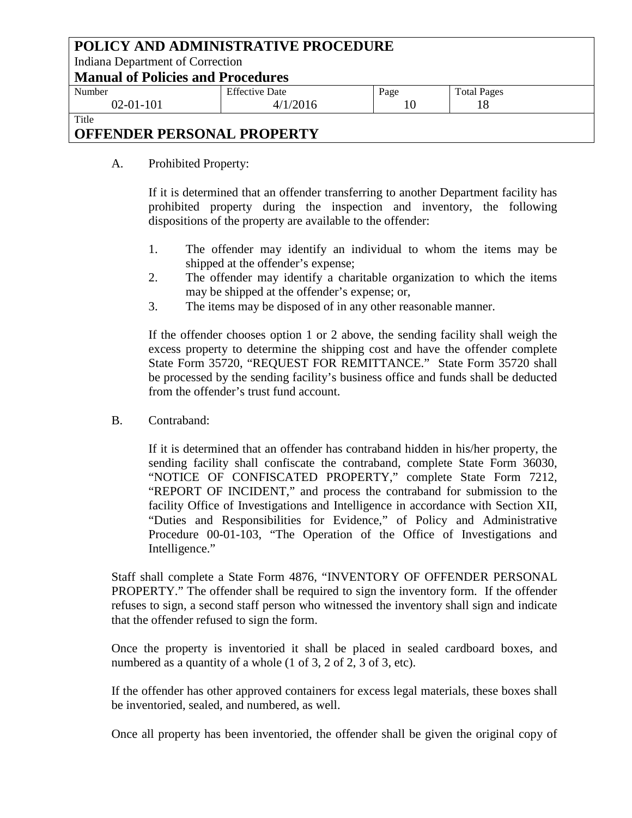| POLICY AND ADMINISTRATIVE PROCEDURE |                                          |      |                    |  |
|-------------------------------------|------------------------------------------|------|--------------------|--|
| Indiana Department of Correction    |                                          |      |                    |  |
|                                     | <b>Manual of Policies and Procedures</b> |      |                    |  |
| Number                              | <b>Effective Date</b>                    | Page | <b>Total Pages</b> |  |
| $02 - 01 - 101$                     | 4/1/2016                                 | 10   |                    |  |
| Title                               |                                          |      |                    |  |

A. Prohibited Property:

If it is determined that an offender transferring to another Department facility has prohibited property during the inspection and inventory, the following dispositions of the property are available to the offender:

- 1. The offender may identify an individual to whom the items may be shipped at the offender's expense;
- 2. The offender may identify a charitable organization to which the items may be shipped at the offender's expense; or,
- 3. The items may be disposed of in any other reasonable manner.

If the offender chooses option 1 or 2 above, the sending facility shall weigh the excess property to determine the shipping cost and have the offender complete State Form 35720, "REQUEST FOR REMITTANCE." State Form 35720 shall be processed by the sending facility's business office and funds shall be deducted from the offender's trust fund account.

B. Contraband:

If it is determined that an offender has contraband hidden in his/her property, the sending facility shall confiscate the contraband, complete State Form 36030, "NOTICE OF CONFISCATED PROPERTY," complete State Form 7212, "REPORT OF INCIDENT," and process the contraband for submission to the facility Office of Investigations and Intelligence in accordance with Section XII, "Duties and Responsibilities for Evidence," of Policy and Administrative Procedure 00-01-103, "The Operation of the Office of Investigations and Intelligence."

Staff shall complete a State Form 4876, "INVENTORY OF OFFENDER PERSONAL PROPERTY." The offender shall be required to sign the inventory form. If the offender refuses to sign, a second staff person who witnessed the inventory shall sign and indicate that the offender refused to sign the form.

Once the property is inventoried it shall be placed in sealed cardboard boxes, and numbered as a quantity of a whole (1 of 3, 2 of 2, 3 of 3, etc).

If the offender has other approved containers for excess legal materials, these boxes shall be inventoried, sealed, and numbered, as well.

Once all property has been inventoried, the offender shall be given the original copy of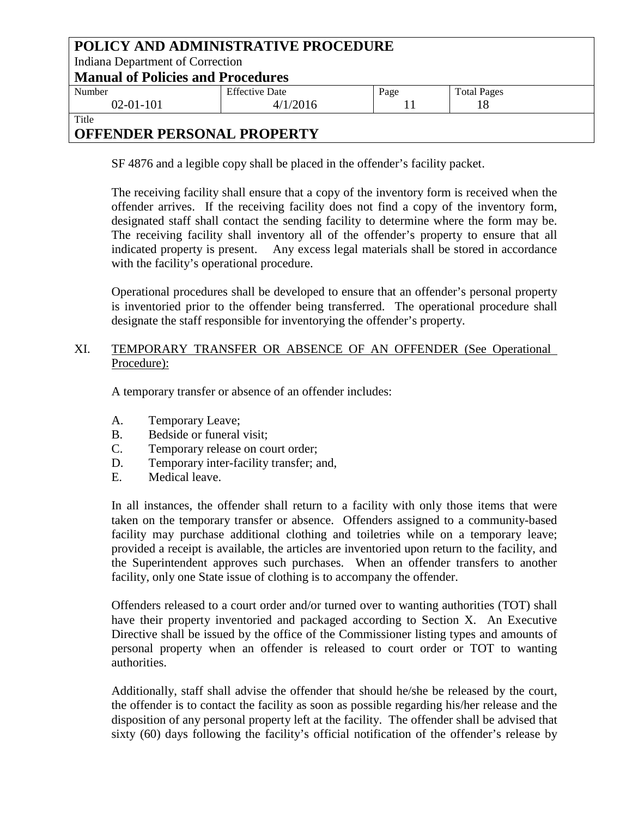| POLICY AND ADMINISTRATIVE PROCEDURE |                                          |      |                    |  |  |
|-------------------------------------|------------------------------------------|------|--------------------|--|--|
|                                     | Indiana Department of Correction         |      |                    |  |  |
|                                     | <b>Manual of Policies and Procedures</b> |      |                    |  |  |
| Number                              | <b>Effective Date</b>                    | Page | <b>Total Pages</b> |  |  |
| $02 - 01 - 101$                     | 4/1/2016                                 |      |                    |  |  |
| Title                               |                                          |      |                    |  |  |

SF 4876 and a legible copy shall be placed in the offender's facility packet.

The receiving facility shall ensure that a copy of the inventory form is received when the offender arrives. If the receiving facility does not find a copy of the inventory form, designated staff shall contact the sending facility to determine where the form may be. The receiving facility shall inventory all of the offender's property to ensure that all indicated property is present. Any excess legal materials shall be stored in accordance with the facility's operational procedure.

Operational procedures shall be developed to ensure that an offender's personal property is inventoried prior to the offender being transferred. The operational procedure shall designate the staff responsible for inventorying the offender's property.

### XI. TEMPORARY TRANSFER OR ABSENCE OF AN OFFENDER (See Operational Procedure):

A temporary transfer or absence of an offender includes:

- A. Temporary Leave;
- B. Bedside or funeral visit;
- C. Temporary release on court order;
- D. Temporary inter-facility transfer; and,
- E. Medical leave.

In all instances, the offender shall return to a facility with only those items that were taken on the temporary transfer or absence. Offenders assigned to a community-based facility may purchase additional clothing and toiletries while on a temporary leave; provided a receipt is available, the articles are inventoried upon return to the facility, and the Superintendent approves such purchases. When an offender transfers to another facility, only one State issue of clothing is to accompany the offender.

Offenders released to a court order and/or turned over to wanting authorities (TOT) shall have their property inventoried and packaged according to Section X. An Executive Directive shall be issued by the office of the Commissioner listing types and amounts of personal property when an offender is released to court order or TOT to wanting authorities.

Additionally, staff shall advise the offender that should he/she be released by the court, the offender is to contact the facility as soon as possible regarding his/her release and the disposition of any personal property left at the facility. The offender shall be advised that sixty (60) days following the facility's official notification of the offender's release by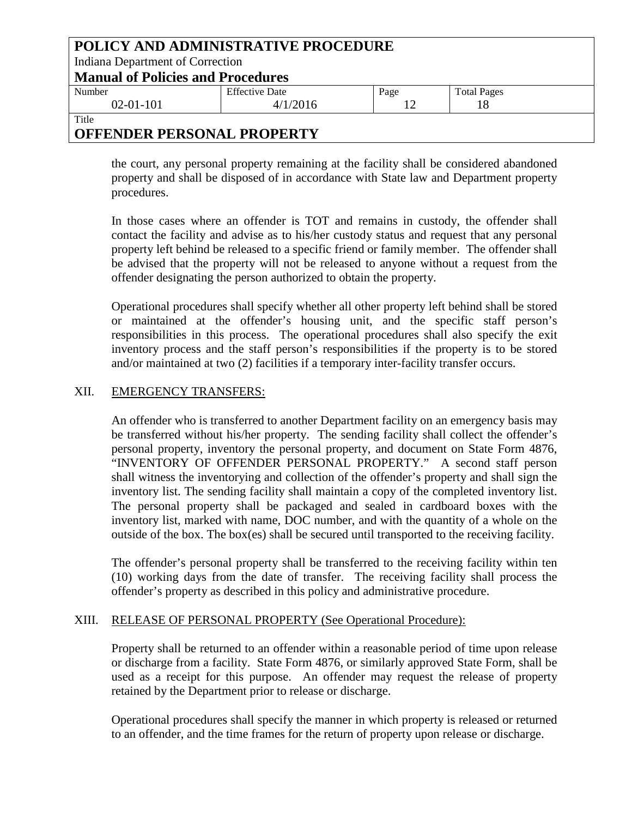| POLICY AND ADMINISTRATIVE PROCEDURE |                                          |      |                    |  |  |
|-------------------------------------|------------------------------------------|------|--------------------|--|--|
| Indiana Department of Correction    |                                          |      |                    |  |  |
|                                     | <b>Manual of Policies and Procedures</b> |      |                    |  |  |
| Number                              | <b>Effective Date</b>                    | Page | <b>Total Pages</b> |  |  |
| $02-01-101$                         | 4/1/2016                                 | 12   |                    |  |  |
| Title                               |                                          |      |                    |  |  |

the court, any personal property remaining at the facility shall be considered abandoned property and shall be disposed of in accordance with State law and Department property procedures.

In those cases where an offender is TOT and remains in custody, the offender shall contact the facility and advise as to his/her custody status and request that any personal property left behind be released to a specific friend or family member. The offender shall be advised that the property will not be released to anyone without a request from the offender designating the person authorized to obtain the property.

Operational procedures shall specify whether all other property left behind shall be stored or maintained at the offender's housing unit, and the specific staff person's responsibilities in this process. The operational procedures shall also specify the exit inventory process and the staff person's responsibilities if the property is to be stored and/or maintained at two (2) facilities if a temporary inter-facility transfer occurs.

### XII. EMERGENCY TRANSFERS:

An offender who is transferred to another Department facility on an emergency basis may be transferred without his/her property. The sending facility shall collect the offender's personal property, inventory the personal property, and document on State Form 4876, "INVENTORY OF OFFENDER PERSONAL PROPERTY." A second staff person shall witness the inventorying and collection of the offender's property and shall sign the inventory list. The sending facility shall maintain a copy of the completed inventory list. The personal property shall be packaged and sealed in cardboard boxes with the inventory list, marked with name, DOC number, and with the quantity of a whole on the outside of the box. The box(es) shall be secured until transported to the receiving facility.

The offender's personal property shall be transferred to the receiving facility within ten (10) working days from the date of transfer. The receiving facility shall process the offender's property as described in this policy and administrative procedure.

#### XIII. RELEASE OF PERSONAL PROPERTY (See Operational Procedure):

Property shall be returned to an offender within a reasonable period of time upon release or discharge from a facility. State Form 4876, or similarly approved State Form, shall be used as a receipt for this purpose. An offender may request the release of property retained by the Department prior to release or discharge.

Operational procedures shall specify the manner in which property is released or returned to an offender, and the time frames for the return of property upon release or discharge.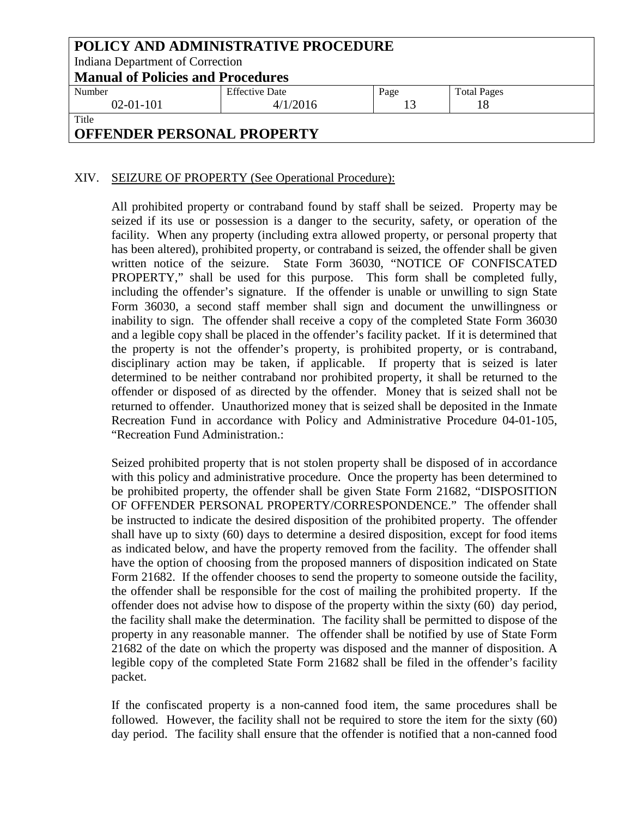| POLICY AND ADMINISTRATIVE PROCEDURE<br>Indiana Department of Correction |                            |                    |  |
|-------------------------------------------------------------------------|----------------------------|--------------------|--|
| <b>Manual of Policies and Procedures</b>                                |                            |                    |  |
| <b>Effective Date</b>                                                   | Page                       | <b>Total Pages</b> |  |
| 4/1/2016                                                                | 13                         |                    |  |
| Title                                                                   |                            |                    |  |
|                                                                         | ADDRUDDD DRDGAU I DDADRDWY |                    |  |

### XIV. SEIZURE OF PROPERTY (See Operational Procedure):

All prohibited property or contraband found by staff shall be seized. Property may be seized if its use or possession is a danger to the security, safety, or operation of the facility. When any property (including extra allowed property, or personal property that has been altered), prohibited property, or contraband is seized, the offender shall be given written notice of the seizure. State Form 36030, "NOTICE OF CONFISCATED PROPERTY," shall be used for this purpose. This form shall be completed fully, including the offender's signature. If the offender is unable or unwilling to sign State Form 36030, a second staff member shall sign and document the unwillingness or inability to sign. The offender shall receive a copy of the completed State Form 36030 and a legible copy shall be placed in the offender's facility packet. If it is determined that the property is not the offender's property, is prohibited property, or is contraband, disciplinary action may be taken, if applicable. If property that is seized is later determined to be neither contraband nor prohibited property, it shall be returned to the offender or disposed of as directed by the offender. Money that is seized shall not be returned to offender. Unauthorized money that is seized shall be deposited in the Inmate Recreation Fund in accordance with Policy and Administrative Procedure 04-01-105, "Recreation Fund Administration.:

Seized prohibited property that is not stolen property shall be disposed of in accordance with this policy and administrative procedure. Once the property has been determined to be prohibited property, the offender shall be given State Form 21682, "DISPOSITION OF OFFENDER PERSONAL PROPERTY/CORRESPONDENCE." The offender shall be instructed to indicate the desired disposition of the prohibited property. The offender shall have up to sixty (60) days to determine a desired disposition, except for food items as indicated below, and have the property removed from the facility. The offender shall have the option of choosing from the proposed manners of disposition indicated on State Form 21682. If the offender chooses to send the property to someone outside the facility, the offender shall be responsible for the cost of mailing the prohibited property. If the offender does not advise how to dispose of the property within the sixty (60) day period, the facility shall make the determination. The facility shall be permitted to dispose of the property in any reasonable manner. The offender shall be notified by use of State Form 21682 of the date on which the property was disposed and the manner of disposition. A legible copy of the completed State Form 21682 shall be filed in the offender's facility packet.

If the confiscated property is a non-canned food item, the same procedures shall be followed. However, the facility shall not be required to store the item for the sixty (60) day period. The facility shall ensure that the offender is notified that a non-canned food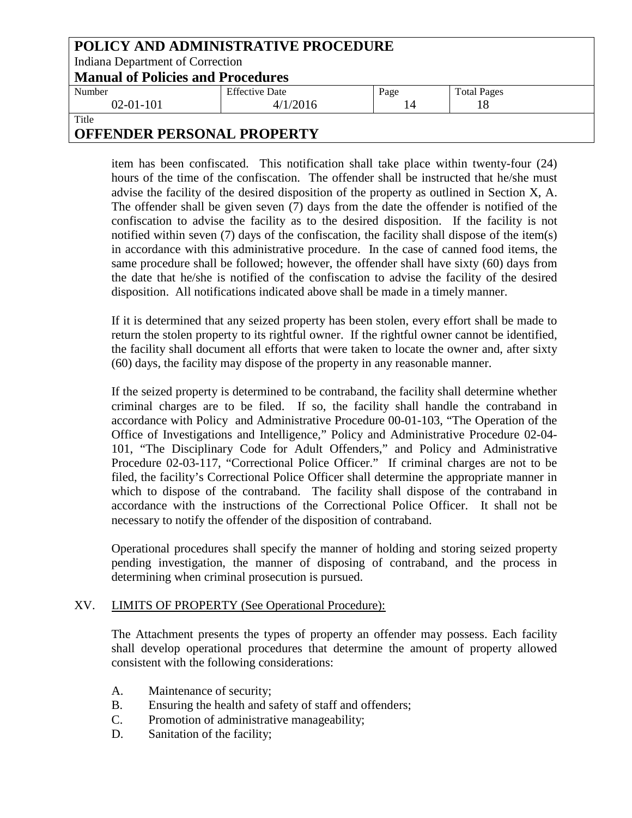| POLICY AND ADMINISTRATIVE PROCEDURE      |                       |      |                    |
|------------------------------------------|-----------------------|------|--------------------|
| Indiana Department of Correction         |                       |      |                    |
| <b>Manual of Policies and Procedures</b> |                       |      |                    |
| Number                                   | <b>Effective Date</b> | Page | <b>Total Pages</b> |
| $02-01-101$                              | 4/1/2016              | 14   |                    |
| Title                                    |                       |      |                    |

item has been confiscated. This notification shall take place within twenty-four (24) hours of the time of the confiscation. The offender shall be instructed that he/she must advise the facility of the desired disposition of the property as outlined in Section X, A. The offender shall be given seven (7) days from the date the offender is notified of the confiscation to advise the facility as to the desired disposition. If the facility is not notified within seven (7) days of the confiscation, the facility shall dispose of the item(s) in accordance with this administrative procedure. In the case of canned food items, the same procedure shall be followed; however, the offender shall have sixty (60) days from the date that he/she is notified of the confiscation to advise the facility of the desired disposition. All notifications indicated above shall be made in a timely manner.

If it is determined that any seized property has been stolen, every effort shall be made to return the stolen property to its rightful owner. If the rightful owner cannot be identified, the facility shall document all efforts that were taken to locate the owner and, after sixty (60) days, the facility may dispose of the property in any reasonable manner.

If the seized property is determined to be contraband, the facility shall determine whether criminal charges are to be filed. If so, the facility shall handle the contraband in accordance with Policy and Administrative Procedure 00-01-103, "The Operation of the Office of Investigations and Intelligence," Policy and Administrative Procedure 02-04- 101, "The Disciplinary Code for Adult Offenders," and Policy and Administrative Procedure 02-03-117, "Correctional Police Officer." If criminal charges are not to be filed, the facility's Correctional Police Officer shall determine the appropriate manner in which to dispose of the contraband. The facility shall dispose of the contraband in accordance with the instructions of the Correctional Police Officer. It shall not be necessary to notify the offender of the disposition of contraband.

Operational procedures shall specify the manner of holding and storing seized property pending investigation, the manner of disposing of contraband, and the process in determining when criminal prosecution is pursued.

#### XV. LIMITS OF PROPERTY (See Operational Procedure):

The Attachment presents the types of property an offender may possess. Each facility shall develop operational procedures that determine the amount of property allowed consistent with the following considerations:

- A. Maintenance of security;
- B. Ensuring the health and safety of staff and offenders;
- C. Promotion of administrative manageability;
- D. Sanitation of the facility;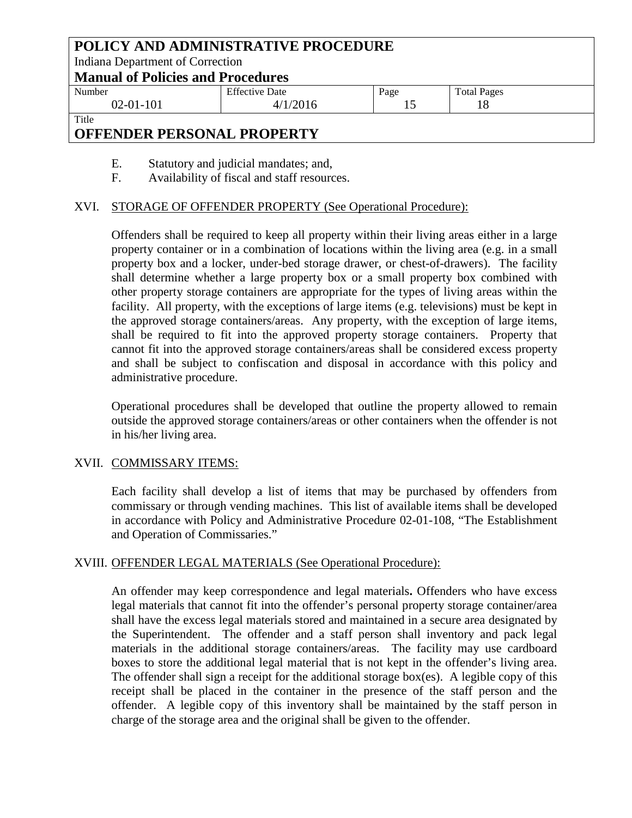| POLICY AND ADMINISTRATIVE PROCEDURE      |                       |      |                    |
|------------------------------------------|-----------------------|------|--------------------|
| Indiana Department of Correction         |                       |      |                    |
| <b>Manual of Policies and Procedures</b> |                       |      |                    |
| Number                                   | <b>Effective Date</b> | Page | <b>Total Pages</b> |
| $02 - 01 - 101$                          | 4/1/2016              |      | 18                 |
| Title                                    |                       |      |                    |

- E. Statutory and judicial mandates; and,
- F. Availability of fiscal and staff resources.

#### XVI. STORAGE OF OFFENDER PROPERTY (See Operational Procedure):

Offenders shall be required to keep all property within their living areas either in a large property container or in a combination of locations within the living area (e.g. in a small property box and a locker, under-bed storage drawer, or chest-of-drawers). The facility shall determine whether a large property box or a small property box combined with other property storage containers are appropriate for the types of living areas within the facility. All property, with the exceptions of large items (e.g. televisions) must be kept in the approved storage containers/areas. Any property, with the exception of large items, shall be required to fit into the approved property storage containers. Property that cannot fit into the approved storage containers/areas shall be considered excess property and shall be subject to confiscation and disposal in accordance with this policy and administrative procedure.

Operational procedures shall be developed that outline the property allowed to remain outside the approved storage containers/areas or other containers when the offender is not in his/her living area.

#### XVII. COMMISSARY ITEMS:

Each facility shall develop a list of items that may be purchased by offenders from commissary or through vending machines. This list of available items shall be developed in accordance with Policy and Administrative Procedure 02-01-108, "The Establishment and Operation of Commissaries."

#### XVIII. OFFENDER LEGAL MATERIALS (See Operational Procedure):

An offender may keep correspondence and legal materials**.** Offenders who have excess legal materials that cannot fit into the offender's personal property storage container/area shall have the excess legal materials stored and maintained in a secure area designated by the Superintendent. The offender and a staff person shall inventory and pack legal materials in the additional storage containers/areas. The facility may use cardboard boxes to store the additional legal material that is not kept in the offender's living area. The offender shall sign a receipt for the additional storage box(es). A legible copy of this receipt shall be placed in the container in the presence of the staff person and the offender. A legible copy of this inventory shall be maintained by the staff person in charge of the storage area and the original shall be given to the offender.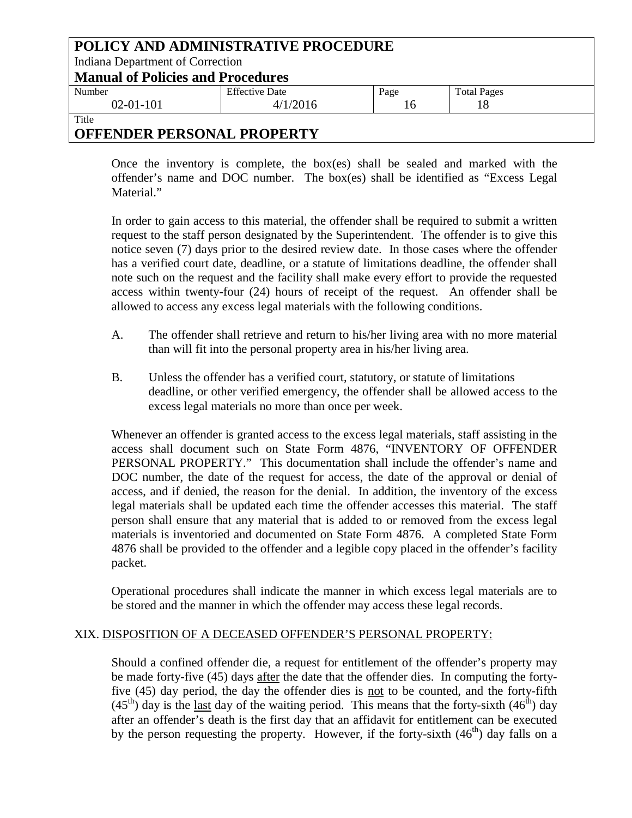| POLICY AND ADMINISTRATIVE PROCEDURE      |                       |      |                    |  |
|------------------------------------------|-----------------------|------|--------------------|--|
| Indiana Department of Correction         |                       |      |                    |  |
| <b>Manual of Policies and Procedures</b> |                       |      |                    |  |
| Number                                   | <b>Effective Date</b> | Page | <b>Total Pages</b> |  |
| $02-01-101$                              | 4/1/2016              | 16   |                    |  |
| Title                                    |                       |      |                    |  |

Once the inventory is complete, the box(es) shall be sealed and marked with the offender's name and DOC number. The box(es) shall be identified as "Excess Legal Material."

In order to gain access to this material, the offender shall be required to submit a written request to the staff person designated by the Superintendent. The offender is to give this notice seven (7) days prior to the desired review date. In those cases where the offender has a verified court date, deadline, or a statute of limitations deadline, the offender shall note such on the request and the facility shall make every effort to provide the requested access within twenty-four (24) hours of receipt of the request. An offender shall be allowed to access any excess legal materials with the following conditions.

- A. The offender shall retrieve and return to his/her living area with no more material than will fit into the personal property area in his/her living area.
- B. Unless the offender has a verified court, statutory, or statute of limitations deadline, or other verified emergency, the offender shall be allowed access to the excess legal materials no more than once per week.

Whenever an offender is granted access to the excess legal materials, staff assisting in the access shall document such on State Form 4876, "INVENTORY OF OFFENDER PERSONAL PROPERTY." This documentation shall include the offender's name and DOC number, the date of the request for access, the date of the approval or denial of access, and if denied, the reason for the denial. In addition, the inventory of the excess legal materials shall be updated each time the offender accesses this material. The staff person shall ensure that any material that is added to or removed from the excess legal materials is inventoried and documented on State Form 4876. A completed State Form 4876 shall be provided to the offender and a legible copy placed in the offender's facility packet.

Operational procedures shall indicate the manner in which excess legal materials are to be stored and the manner in which the offender may access these legal records.

#### XIX. DISPOSITION OF A DECEASED OFFENDER'S PERSONAL PROPERTY:

Should a confined offender die, a request for entitlement of the offender's property may be made forty-five (45) days after the date that the offender dies. In computing the fortyfive (45) day period, the day the offender dies is not to be counted, and the forty-fifth  $(45<sup>th</sup>)$  day is the last day of the waiting period. This means that the forty-sixth  $(46<sup>th</sup>)$  day after an offender's death is the first day that an affidavit for entitlement can be executed by the person requesting the property. However, if the forty-sixth  $(46<sup>th</sup>)$  day falls on a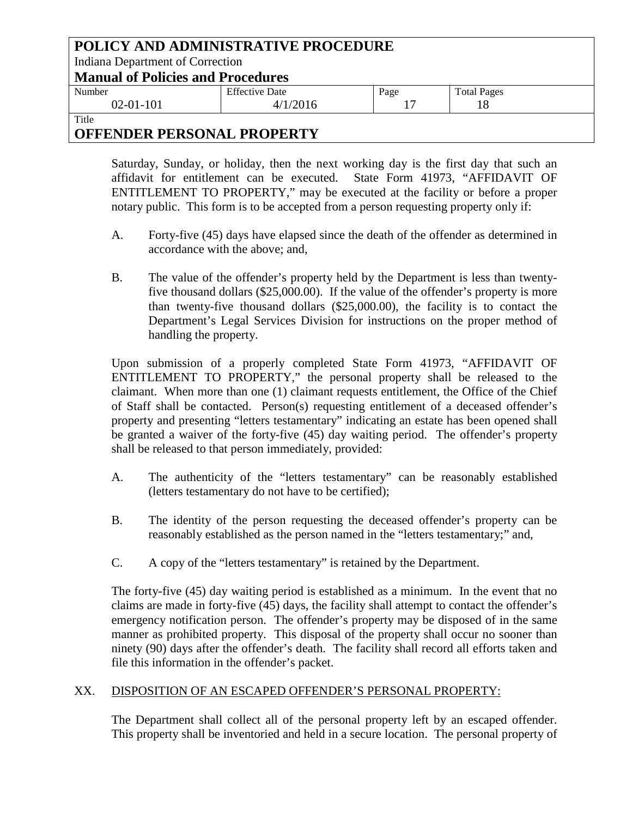| POLICY AND ADMINISTRATIVE PROCEDURE      |                       |      |                    |
|------------------------------------------|-----------------------|------|--------------------|
| Indiana Department of Correction         |                       |      |                    |
| <b>Manual of Policies and Procedures</b> |                       |      |                    |
| Number                                   | <b>Effective Date</b> | Page | <b>Total Pages</b> |
| $02 - 01 - 101$                          | 4/1/2016              | 17   |                    |
| Title                                    |                       |      |                    |

Saturday, Sunday, or holiday, then the next working day is the first day that such an affidavit for entitlement can be executed. State Form 41973, "AFFIDAVIT OF ENTITLEMENT TO PROPERTY," may be executed at the facility or before a proper notary public. This form is to be accepted from a person requesting property only if:

- A. Forty-five (45) days have elapsed since the death of the offender as determined in accordance with the above; and,
- B. The value of the offender's property held by the Department is less than twentyfive thousand dollars (\$25,000.00). If the value of the offender's property is more than twenty-five thousand dollars (\$25,000.00), the facility is to contact the Department's Legal Services Division for instructions on the proper method of handling the property.

Upon submission of a properly completed State Form 41973, "AFFIDAVIT OF ENTITLEMENT TO PROPERTY," the personal property shall be released to the claimant. When more than one (1) claimant requests entitlement, the Office of the Chief of Staff shall be contacted. Person(s) requesting entitlement of a deceased offender's property and presenting "letters testamentary" indicating an estate has been opened shall be granted a waiver of the forty-five (45) day waiting period. The offender's property shall be released to that person immediately, provided:

- A. The authenticity of the "letters testamentary" can be reasonably established (letters testamentary do not have to be certified);
- B. The identity of the person requesting the deceased offender's property can be reasonably established as the person named in the "letters testamentary;" and,
- C. A copy of the "letters testamentary" is retained by the Department.

The forty-five (45) day waiting period is established as a minimum. In the event that no claims are made in forty-five (45) days, the facility shall attempt to contact the offender's emergency notification person. The offender's property may be disposed of in the same manner as prohibited property. This disposal of the property shall occur no sooner than ninety (90) days after the offender's death. The facility shall record all efforts taken and file this information in the offender's packet.

## XX. DISPOSITION OF AN ESCAPED OFFENDER'S PERSONAL PROPERTY:

The Department shall collect all of the personal property left by an escaped offender. This property shall be inventoried and held in a secure location. The personal property of